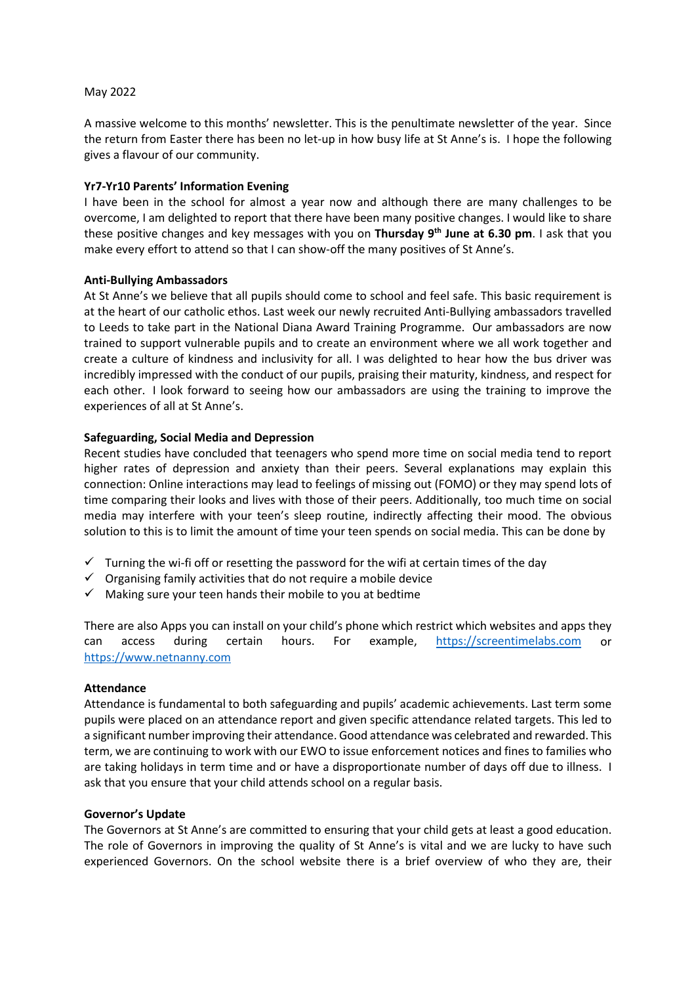### May 2022

A massive welcome to this months' newsletter. This is the penultimate newsletter of the year. Since the return from Easter there has been no let-up in how busy life at St Anne's is. I hope the following gives a flavour of our community.

## **Yr7-Yr10 Parents' Information Evening**

I have been in the school for almost a year now and although there are many challenges to be overcome, I am delighted to report that there have been many positive changes. I would like to share these positive changes and key messages with you on **Thursday 9th June at 6.30 pm**. I ask that you make every effort to attend so that I can show-off the many positives of St Anne's.

### **Anti-Bullying Ambassadors**

At St Anne's we believe that all pupils should come to school and feel safe. This basic requirement is at the heart of our catholic ethos. Last week our newly recruited Anti-Bullying ambassadors travelled to Leeds to take part in the National Diana Award Training Programme. Our ambassadors are now trained to support vulnerable pupils and to create an environment where we all work together and create a culture of kindness and inclusivity for all. I was delighted to hear how the bus driver was incredibly impressed with the conduct of our pupils, praising their maturity, kindness, and respect for each other. I look forward to seeing how our ambassadors are using the training to improve the experiences of all at St Anne's.

## **Safeguarding, Social Media and Depression**

Recent studies have concluded that teenagers who spend more time on social media tend to report higher rates of depression and anxiety than their peers. Several explanations may explain this connection: Online interactions may lead to feelings of missing out (FOMO) or they may spend lots of time comparing their looks and lives with those of their peers. Additionally, too much time on social media may interfere with your teen's sleep routine, indirectly affecting their mood. The obvious solution to this is to limit the amount of time your teen spends on social media. This can be done by

- $\checkmark$  Turning the wi-fi off or resetting the password for the wifi at certain times of the day
- $\checkmark$  Organising family activities that do not require a mobile device
- $\checkmark$  Making sure your teen hands their mobile to you at bedtime

There are also Apps you can install on your child's phone which restrict which websites and apps they can access during certain hours. For example, [https://screentimelabs.com](https://screentimelabs.com/) or [https://www.netnanny.com](https://www.netnanny.com/)

#### **Attendance**

Attendance is fundamental to both safeguarding and pupils' academic achievements. Last term some pupils were placed on an attendance report and given specific attendance related targets. This led to a significant number improving their attendance. Good attendance was celebrated and rewarded. This term, we are continuing to work with our EWO to issue enforcement notices and fines to families who are taking holidays in term time and or have a disproportionate number of days off due to illness. I ask that you ensure that your child attends school on a regular basis.

### **Governor's Update**

The Governors at St Anne's are committed to ensuring that your child gets at least a good education. The role of Governors in improving the quality of St Anne's is vital and we are lucky to have such experienced Governors. On the school website there is a brief overview of who they are, their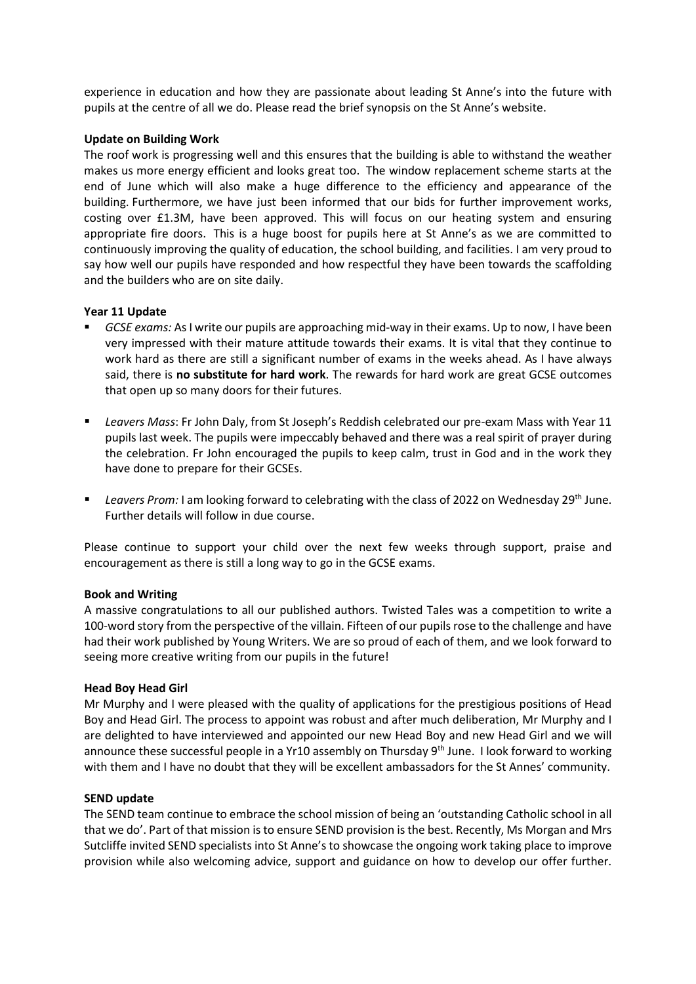experience in education and how they are passionate about leading St Anne's into the future with pupils at the centre of all we do. Please read the brief synopsis on the St Anne's website.

### **Update on Building Work**

The roof work is progressing well and this ensures that the building is able to withstand the weather makes us more energy efficient and looks great too. The window replacement scheme starts at the end of June which will also make a huge difference to the efficiency and appearance of the building. Furthermore, we have just been informed that our bids for further improvement works, costing over £1.3M, have been approved. This will focus on our heating system and ensuring appropriate fire doors. This is a huge boost for pupils here at St Anne's as we are committed to continuously improving the quality of education, the school building, and facilities. I am very proud to say how well our pupils have responded and how respectful they have been towards the scaffolding and the builders who are on site daily.

### **Year 11 Update**

- *GCSE exams:* As I write our pupils are approaching mid-way in their exams. Up to now, I have been very impressed with their mature attitude towards their exams. It is vital that they continue to work hard as there are still a significant number of exams in the weeks ahead. As I have always said, there is **no substitute for hard work**. The rewards for hard work are great GCSE outcomes that open up so many doors for their futures.
- *Leavers Mass*: Fr John Daly, from St Joseph's Reddish celebrated our pre-exam Mass with Year 11 pupils last week. The pupils were impeccably behaved and there was a real spirit of prayer during the celebration. Fr John encouraged the pupils to keep calm, trust in God and in the work they have done to prepare for their GCSEs.
- **EXECT:** Leavers Prom: I am looking forward to celebrating with the class of 2022 on Wednesday 29<sup>th</sup> June. Further details will follow in due course.

Please continue to support your child over the next few weeks through support, praise and encouragement as there is still a long way to go in the GCSE exams.

#### **Book and Writing**

A massive congratulations to all our published authors. Twisted Tales was a competition to write a 100-word story from the perspective of the villain. Fifteen of our pupils rose to the challenge and have had their work published by Young Writers. We are so proud of each of them, and we look forward to seeing more creative writing from our pupils in the future!

#### **Head Boy Head Girl**

Mr Murphy and I were pleased with the quality of applications for the prestigious positions of Head Boy and Head Girl. The process to appoint was robust and after much deliberation, Mr Murphy and I are delighted to have interviewed and appointed our new Head Boy and new Head Girl and we will announce these successful people in a Yr10 assembly on Thursday  $9<sup>th</sup>$  June. I look forward to working with them and I have no doubt that they will be excellent ambassadors for the St Annes' community.

## **SEND update**

The SEND team continue to embrace the school mission of being an 'outstanding Catholic school in all that we do'. Part of that mission is to ensure SEND provision is the best. Recently, Ms Morgan and Mrs Sutcliffe invited SEND specialists into St Anne's to showcase the ongoing work taking place to improve provision while also welcoming advice, support and guidance on how to develop our offer further.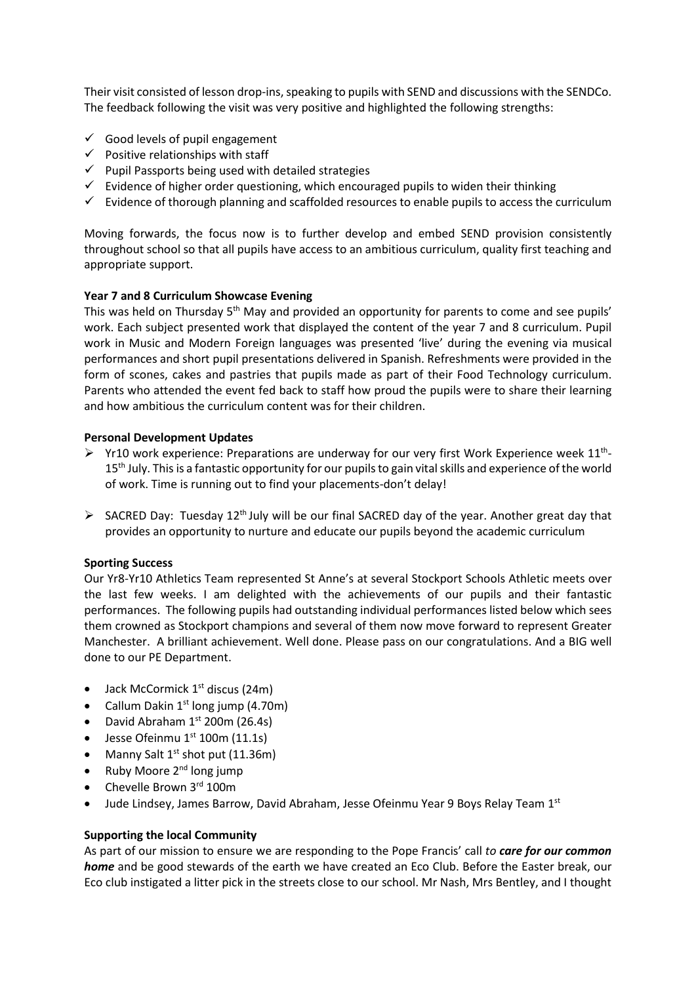Their visit consisted of lesson drop-ins, speaking to pupils with SEND and discussions with the SENDCo. The feedback following the visit was very positive and highlighted the following strengths:

- $\checkmark$  Good levels of pupil engagement
- $\checkmark$  Positive relationships with staff
- $\checkmark$  Pupil Passports being used with detailed strategies
- $\checkmark$  Evidence of higher order questioning, which encouraged pupils to widen their thinking
- $\checkmark$  Evidence of thorough planning and scaffolded resources to enable pupils to access the curriculum

Moving forwards, the focus now is to further develop and embed SEND provision consistently throughout school so that all pupils have access to an ambitious curriculum, quality first teaching and appropriate support.

## **Year 7 and 8 Curriculum Showcase Evening**

This was held on Thursday 5<sup>th</sup> May and provided an opportunity for parents to come and see pupils' work. Each subject presented work that displayed the content of the year 7 and 8 curriculum. Pupil work in Music and Modern Foreign languages was presented 'live' during the evening via musical performances and short pupil presentations delivered in Spanish. Refreshments were provided in the form of scones, cakes and pastries that pupils made as part of their Food Technology curriculum. Parents who attended the event fed back to staff how proud the pupils were to share their learning and how ambitious the curriculum content was for their children.

## **Personal Development Updates**

- $\triangleright$  Yr10 work experience: Preparations are underway for our very first Work Experience week 11<sup>th</sup>-15<sup>th</sup> July. This is a fantastic opportunity for our pupils to gain vital skills and experience of the world of work. Time is running out to find your placements-don't delay!
- $\triangleright$  SACRED Day: Tuesday 12<sup>th</sup> July will be our final SACRED day of the year. Another great day that provides an opportunity to nurture and educate our pupils beyond the academic curriculum

## **Sporting Success**

Our Yr8-Yr10 Athletics Team represented St Anne's at several Stockport Schools Athletic meets over the last few weeks. I am delighted with the achievements of our pupils and their fantastic performances. The following pupils had outstanding individual performances listed below which sees them crowned as Stockport champions and several of them now move forward to represent Greater Manchester. A brilliant achievement. Well done. Please pass on our congratulations. And a BIG well done to our PE Department.

- Jack McCormick  $1<sup>st</sup>$  discus (24m)
- Callum Dakin  $1<sup>st</sup>$  long jump (4.70m)
- David Abraham  $1<sup>st</sup>$  200m (26.4s)
- $\bullet$  Jesse Ofeinmu  $1^{st}$  100m (11.1s)
- Manny Salt  $1^{st}$  shot put (11.36m)
- Ruby Moore  $2^{nd}$  long jump
- Chevelle Brown 3rd 100m
- Jude Lindsey, James Barrow, David Abraham, Jesse Ofeinmu Year 9 Boys Relay Team 1st

## **Supporting the local Community**

As part of our mission to ensure we are responding to the Pope Francis' call *to care for our common home* and be good stewards of the earth we have created an Eco Club. Before the Easter break, our Eco club instigated a litter pick in the streets close to our school. Mr Nash, Mrs Bentley, and I thought